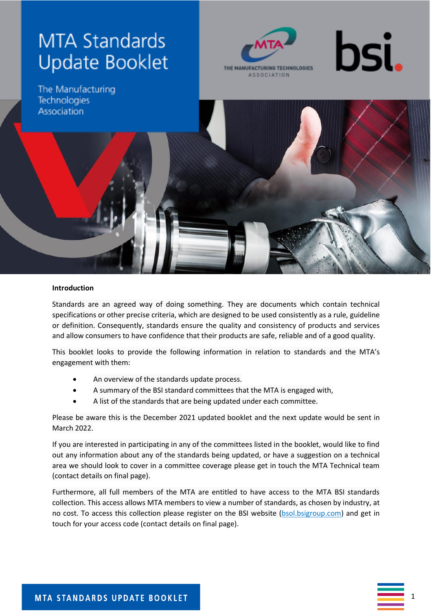# **MTA Standards Update Booklet**





The Manufacturing **Technologies** Association

#### **Introduction**

Standards are an agreed way of doing something. They are documents which contain technical specifications or other precise criteria, which are designed to be used consistently as a rule, guideline or definition. Consequently, standards ensure the quality and consistency of products and services and allow consumers to have confidence that their products are safe, reliable and of a good quality.

This booklet looks to provide the following information in relation to standards and the MTA's engagement with them:

- An overview of the standards update process.
- A summary of the BSI standard committees that the MTA is engaged with,
- A list of the standards that are being updated under each committee.

Please be aware this is the December 2021 updated booklet and the next update would be sent in March 2022.

If you are interested in participating in any of the committees listed in the booklet, would like to find out any information about any of the standards being updated, or have a suggestion on a technical area we should look to cover in a committee coverage please get in touch the MTA Technical team (contact details on final page).

Furthermore, all full members of the MTA are entitled to have access to the MTA BSI standards collection. This access allows MTA members to view a number of standards, as chosen by industry, at no cost. To access this collection please register on the BSI website [\(bsol.bsigroup.com\)](https://protect-eu.mimecast.com/s/Tc3ECGRxjHln9iWwy-g?domain=bsol.bsigroup.com) and get in touch for your access code (contact details on final page).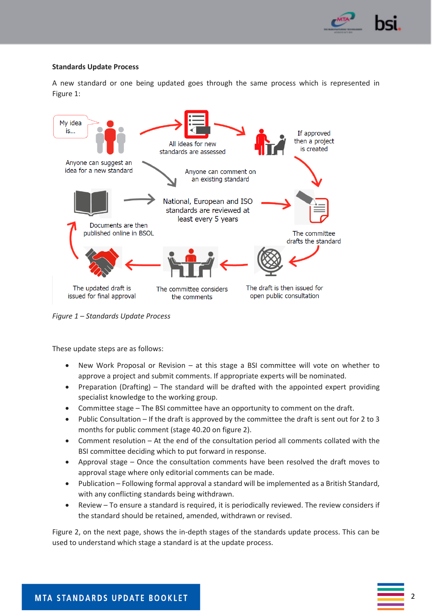

#### **Standards Update Process**

A new standard or one being updated goes through the same process which is represented in Figure 1:



*Figure 1 – Standards Update Process*

These update steps are as follows:

- New Work Proposal or Revision at this stage a BSI committee will vote on whether to approve a project and submit comments. If appropriate experts will be nominated.
- Preparation (Drafting) The standard will be drafted with the appointed expert providing specialist knowledge to the working group.
- Committee stage The BSI committee have an opportunity to comment on the draft.
- Public Consultation If the draft is approved by the committee the draft is sent out for 2 to 3 months for public comment (stage 40.20 on figure 2).
- Comment resolution At the end of the consultation period all comments collated with the BSI committee deciding which to put forward in response.
- Approval stage Once the consultation comments have been resolved the draft moves to approval stage where only editorial comments can be made.
- Publication Following formal approval a standard will be implemented as a British Standard, with any conflicting standards being withdrawn.
- Review To ensure a standard is required, it is periodically reviewed. The review considers if the standard should be retained, amended, withdrawn or revised.

Figure 2, on the next page, shows the in-depth stages of the standards update process. This can be used to understand which stage a standard is at the update process.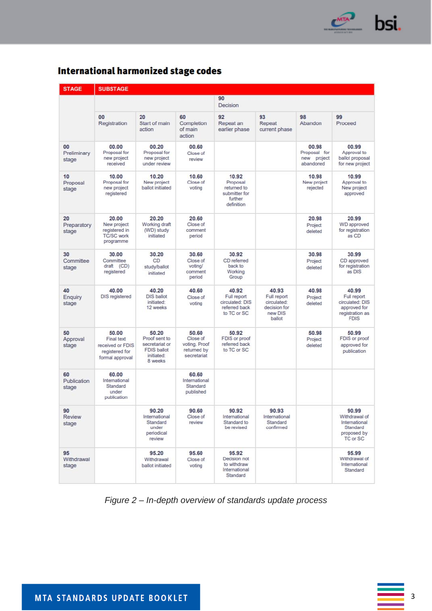

| <b>STAGE</b>               | <b>SUBSTAGE</b>                                                              |                                                                                         |                                                                  |                                                                            |                                                                          |                                                   |                                                                                           |
|----------------------------|------------------------------------------------------------------------------|-----------------------------------------------------------------------------------------|------------------------------------------------------------------|----------------------------------------------------------------------------|--------------------------------------------------------------------------|---------------------------------------------------|-------------------------------------------------------------------------------------------|
|                            |                                                                              |                                                                                         |                                                                  | 90<br>Decision                                                             |                                                                          |                                                   |                                                                                           |
|                            | 00<br>Registration                                                           | 20<br>Start of main<br>action                                                           | 60<br>Completion<br>of main<br>action                            | 92<br>Repeat an<br>earlier phase                                           | 93<br>Repeat<br>current phase                                            | 98<br>Abandon                                     | 99<br>Proceed                                                                             |
| 00<br>Preliminary<br>stage | 00.00<br>Proposal for<br>new project<br>received                             | 00.20<br>Proposal for<br>new project<br>under review                                    | 00.60<br>Close of<br>review                                      |                                                                            |                                                                          | 00.98<br>Proposal for<br>new project<br>abandoned | 00.99<br>Approval to<br>ballot proposal<br>for new project                                |
| 10<br>Proposal<br>stage    | 10.00<br>Proposal for<br>new project<br>registered                           | 10.20<br>New project<br>ballot initiated                                                | 10.60<br>Close of<br>voting                                      | 10.92<br>Proposal<br>returned to<br>submitter for<br>further<br>definition |                                                                          | 10.98<br>New project<br>rejected                  | 10.99<br>Approval to<br>New project<br>approved                                           |
| 20<br>Preparatory<br>stage | 20.00<br>New project<br>registered in<br><b>TC/SC work</b><br>programme      | 20.20<br>Working draft<br>(WD) study<br>initiated                                       | 20.60<br>Close of<br>comment<br>period                           |                                                                            |                                                                          | 20.98<br>Project<br>deleted                       | 20.99<br><b>WD</b> approved<br>for registration<br>as CD                                  |
| 30<br>Committee<br>stage   | 30.00<br>Committee<br>draft (CD)<br>registered                               | 30.20<br>CD<br>study/ballot<br>initiated                                                | 30.60<br>Close of<br>voting/<br>comment<br>period                | 30.92<br>CD referred<br>back to<br>Working<br>Group                        |                                                                          | 30.98<br>Project<br>deleted                       | 30.99<br>CD approved<br>for registration<br>as DIS                                        |
| 40<br>Enquiry<br>stage     | 40.00<br><b>DIS registered</b>                                               | 40.20<br><b>DIS ballot</b><br>initiated:<br>12 weeks                                    | 40.60<br>Close of<br>voting                                      | 40.92<br>Full report<br>circulated: DIS<br>referred back<br>to TC or SC    | 40.93<br>Full report<br>circulated:<br>decision for<br>new DIS<br>ballot | 40.98<br>Project<br>deleted                       | 40.99<br>Full report<br>circulated: DIS<br>approved for<br>registration as<br><b>FDIS</b> |
| 50<br>Approval<br>stage    | 50.00<br>Final text<br>received or FDIS<br>registered for<br>formal approval | 50.20<br>Proof sent to<br>secretariat or<br><b>FDIS ballot</b><br>initiated:<br>8 weeks | 50.60<br>Close of<br>voting. Proof<br>returned by<br>secretariat | 50.92<br>FDIS or proof<br>referred back<br>to TC or SC                     |                                                                          | 50.98<br>Project<br>deleted                       | 50.99<br>FDIS or proof<br>approved for<br>publication                                     |
| 60<br>Publication<br>stage | 60.00<br>International<br>Standard<br>under<br>publication                   |                                                                                         | 60.60<br>International<br>Standard<br>published                  |                                                                            |                                                                          |                                                   |                                                                                           |
| 90<br>Review<br>stage      |                                                                              | 90.20<br>International<br>Standard<br>under<br>periodical<br>review                     | 90.60<br>Close of<br>review                                      | 90.92<br>International<br>Standard to<br>be revised                        | 90.93<br>International<br>Standard<br>confirmed                          |                                                   | 90.99<br>Withdrawal of<br>International<br>Standard<br>proposed by<br>TC or SC            |
| 95<br>Withdrawal<br>stage  |                                                                              | 95.20<br>Withdrawal<br>ballot initiated                                                 | 95.60<br>Close of<br>voting                                      | 95.92<br>Decision not<br>to withdraw<br>International<br>Standard          |                                                                          |                                                   | 95.99<br>Withdrawal of<br>International<br>Standard                                       |

## **International harmonized stage codes**

*Figure 2 – In-depth overview of standards update process*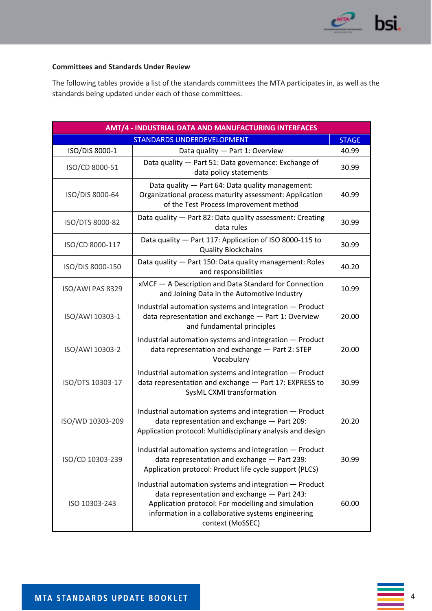

### **Committees and Standards Under Review**

The following tables provide a list of the standards committees the MTA participates in, as well as the standards being updated under each of those committees.

| <b>AMT/4 - INDUSTRIAL DATA AND MANUFACTURING INTERFACES</b> |                                                                                                                                                                                                                                         |       |  |  |
|-------------------------------------------------------------|-----------------------------------------------------------------------------------------------------------------------------------------------------------------------------------------------------------------------------------------|-------|--|--|
| STANDARDS UNDERDEVELOPMENT<br><b>STAGE</b>                  |                                                                                                                                                                                                                                         |       |  |  |
| ISO/DIS 8000-1                                              | Data quality - Part 1: Overview                                                                                                                                                                                                         | 40.99 |  |  |
| ISO/CD 8000-51                                              | Data quality - Part 51: Data governance: Exchange of<br>data policy statements                                                                                                                                                          | 30.99 |  |  |
| ISO/DIS 8000-64                                             | Data quality - Part 64: Data quality management:<br>Organizational process maturity assessment: Application<br>of the Test Process Improvement method                                                                                   | 40.99 |  |  |
| ISO/DTS 8000-82                                             | Data quality - Part 82: Data quality assessment: Creating<br>data rules                                                                                                                                                                 | 30.99 |  |  |
| ISO/CD 8000-117                                             | Data quality - Part 117: Application of ISO 8000-115 to<br><b>Quality Blockchains</b>                                                                                                                                                   | 30.99 |  |  |
| ISO/DIS 8000-150                                            | Data quality - Part 150: Data quality management: Roles<br>and responsibilities                                                                                                                                                         | 40.20 |  |  |
| ISO/AWI PAS 8329                                            | xMCF - A Description and Data Standard for Connection<br>and Joining Data in the Automotive Industry                                                                                                                                    | 10.99 |  |  |
| ISO/AWI 10303-1                                             | Industrial automation systems and integration - Product<br>data representation and exchange - Part 1: Overview<br>and fundamental principles                                                                                            | 20.00 |  |  |
| ISO/AWI 10303-2                                             | Industrial automation systems and integration - Product<br>data representation and exchange - Part 2: STEP<br>Vocabulary                                                                                                                | 20.00 |  |  |
| ISO/DTS 10303-17                                            | Industrial automation systems and integration - Product<br>data representation and exchange - Part 17: EXPRESS to<br>SysML CXMI transformation                                                                                          | 30.99 |  |  |
| ISO/WD 10303-209                                            | Industrial automation systems and integration - Product<br>data representation and exchange - Part 209:<br>Application protocol: Multidisciplinary analysis and design                                                                  | 20.20 |  |  |
| ISO/CD 10303-239                                            | Industrial automation systems and integration - Product<br>data representation and exchange - Part 239:<br>Application protocol: Product life cycle support (PLCS)                                                                      | 30.99 |  |  |
| ISO 10303-243                                               | Industrial automation systems and integration - Product<br>data representation and exchange - Part 243:<br>Application protocol: For modelling and simulation<br>information in a collaborative systems engineering<br>context (MoSSEC) | 60.00 |  |  |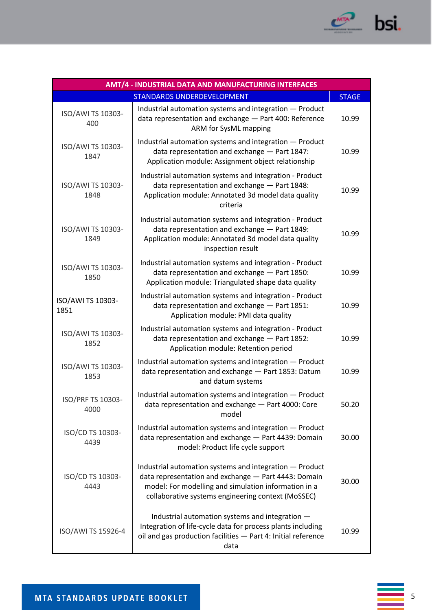

| AMT/4 - INDUSTRIAL DATA AND MANUFACTURING INTERFACES |                                                                                                                                                                                                                               |       |  |  |
|------------------------------------------------------|-------------------------------------------------------------------------------------------------------------------------------------------------------------------------------------------------------------------------------|-------|--|--|
| STANDARDS UNDERDEVELOPMENT<br><b>STAGE</b>           |                                                                                                                                                                                                                               |       |  |  |
| ISO/AWI TS 10303-<br>400                             | Industrial automation systems and integration - Product<br>data representation and exchange - Part 400: Reference<br>ARM for SysML mapping                                                                                    | 10.99 |  |  |
| ISO/AWI TS 10303-<br>1847                            | Industrial automation systems and integration - Product<br>data representation and exchange - Part 1847:<br>Application module: Assignment object relationship                                                                | 10.99 |  |  |
| ISO/AWI TS 10303-<br>1848                            | Industrial automation systems and integration - Product<br>data representation and exchange - Part 1848:<br>Application module: Annotated 3d model data quality<br>criteria                                                   | 10.99 |  |  |
| ISO/AWI TS 10303-<br>1849                            | Industrial automation systems and integration - Product<br>data representation and exchange - Part 1849:<br>Application module: Annotated 3d model data quality<br>inspection result                                          | 10.99 |  |  |
| ISO/AWI TS 10303-<br>1850                            | Industrial automation systems and integration - Product<br>data representation and exchange - Part 1850:<br>Application module: Triangulated shape data quality                                                               | 10.99 |  |  |
| ISO/AWI TS 10303-<br>1851                            | Industrial automation systems and integration - Product<br>data representation and exchange - Part 1851:<br>Application module: PMI data quality                                                                              | 10.99 |  |  |
| ISO/AWI TS 10303-<br>1852                            | Industrial automation systems and integration - Product<br>data representation and exchange - Part 1852:<br>Application module: Retention period                                                                              | 10.99 |  |  |
| ISO/AWI TS 10303-<br>1853                            | Industrial automation systems and integration - Product<br>data representation and exchange - Part 1853: Datum<br>and datum systems                                                                                           | 10.99 |  |  |
| ISO/PRF TS 10303-<br>4000                            | Industrial automation systems and integration - Product<br>data representation and exchange - Part 4000: Core<br>model                                                                                                        | 50.20 |  |  |
| ISO/CD TS 10303-<br>4439                             | Industrial automation systems and integration - Product<br>data representation and exchange - Part 4439: Domain<br>model: Product life cycle support                                                                          | 30.00 |  |  |
| ISO/CD TS 10303-<br>4443                             | Industrial automation systems and integration - Product<br>data representation and exchange - Part 4443: Domain<br>model: For modelling and simulation information in a<br>collaborative systems engineering context (MoSSEC) | 30.00 |  |  |
| ISO/AWI TS 15926-4                                   | Industrial automation systems and integration -<br>Integration of life-cycle data for process plants including<br>oil and gas production facilities - Part 4: Initial reference<br>data                                       | 10.99 |  |  |

 $\frac{1}{5}$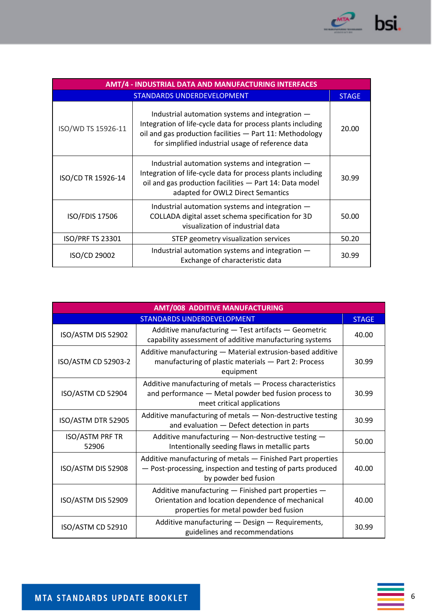

| AMT/4 - INDUSTRIAL DATA AND MANUFACTURING INTERFACES |                                                                                                                                                                                                                                 |       |  |
|------------------------------------------------------|---------------------------------------------------------------------------------------------------------------------------------------------------------------------------------------------------------------------------------|-------|--|
| STANDARDS UNDERDEVELOPMENT                           |                                                                                                                                                                                                                                 |       |  |
| ISO/WD TS 15926-11                                   | Industrial automation systems and integration -<br>Integration of life-cycle data for process plants including<br>oil and gas production facilities - Part 11: Methodology<br>for simplified industrial usage of reference data | 20.00 |  |
| ISO/CD TR 15926-14                                   | Industrial automation systems and integration -<br>Integration of life-cycle data for process plants including<br>oil and gas production facilities - Part 14: Data model<br>adapted for OWL2 Direct Semantics                  | 30.99 |  |
| <b>ISO/FDIS 17506</b>                                | Industrial automation systems and integration -<br>COLLADA digital asset schema specification for 3D<br>visualization of industrial data                                                                                        | 50.00 |  |
| <b>ISO/PRF TS 23301</b>                              | STEP geometry visualization services                                                                                                                                                                                            | 50.20 |  |
| ISO/CD 29002                                         | Industrial automation systems and integration -<br>Exchange of characteristic data                                                                                                                                              | 30.99 |  |

| <b>AMT/008 ADDITIVE MANUFACTURING</b> |                                                                                                                                                    |       |  |
|---------------------------------------|----------------------------------------------------------------------------------------------------------------------------------------------------|-------|--|
| STANDARDS UNDERDEVELOPMENT            |                                                                                                                                                    |       |  |
| ISO/ASTM DIS 52902                    | Additive manufacturing - Test artifacts - Geometric<br>capability assessment of additive manufacturing systems                                     | 40.00 |  |
| ISO/ASTM CD 52903-2                   | Additive manufacturing - Material extrusion-based additive<br>manufacturing of plastic materials - Part 2: Process<br>equipment                    | 30.99 |  |
| ISO/ASTM CD 52904                     | Additive manufacturing of metals - Process characteristics<br>and performance - Metal powder bed fusion process to<br>meet critical applications   | 30.99 |  |
| ISO/ASTM DTR 52905                    | Additive manufacturing of metals - Non-destructive testing<br>and evaluation - Defect detection in parts                                           | 30.99 |  |
| <b>ISO/ASTM PRF TR</b><br>52906       | Additive manufacturing - Non-destructive testing -<br>Intentionally seeding flaws in metallic parts                                                | 50.00 |  |
| ISO/ASTM DIS 52908                    | Additive manufacturing of metals - Finished Part properties<br>- Post-processing, inspection and testing of parts produced<br>by powder bed fusion | 40.00 |  |
| ISO/ASTM DIS 52909                    | Additive manufacturing - Finished part properties -<br>Orientation and location dependence of mechanical<br>properties for metal powder bed fusion | 40.00 |  |
| ISO/ASTM CD 52910                     | Additive manufacturing - Design - Requirements,<br>guidelines and recommendations                                                                  | 30.99 |  |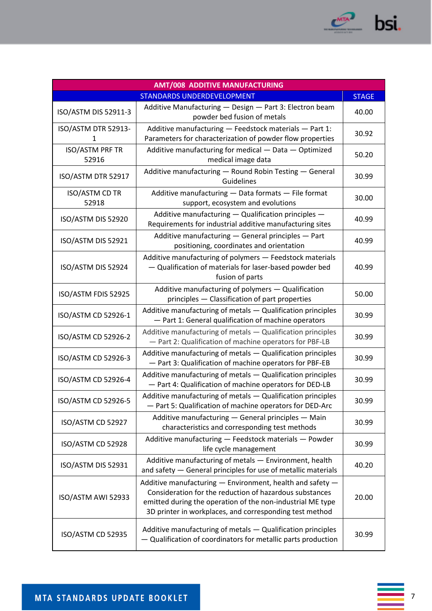

| <b>AMT/008 ADDITIVE MANUFACTURING</b>      |                                                                                                                                                                                                                                               |       |  |  |
|--------------------------------------------|-----------------------------------------------------------------------------------------------------------------------------------------------------------------------------------------------------------------------------------------------|-------|--|--|
| STANDARDS UNDERDEVELOPMENT<br><b>STAGE</b> |                                                                                                                                                                                                                                               |       |  |  |
| ISO/ASTM DIS 52911-3                       | Additive Manufacturing - Design - Part 3: Electron beam<br>powder bed fusion of metals                                                                                                                                                        | 40.00 |  |  |
| ISO/ASTM DTR 52913-<br>$\mathbf{1}$        | Additive manufacturing - Feedstock materials - Part 1:<br>Parameters for characterization of powder flow properties                                                                                                                           | 30.92 |  |  |
| <b>ISO/ASTM PRF TR</b><br>52916            | Additive manufacturing for medical - Data - Optimized<br>medical image data                                                                                                                                                                   | 50.20 |  |  |
| ISO/ASTM DTR 52917                         | Additive manufacturing - Round Robin Testing - General<br>Guidelines                                                                                                                                                                          | 30.99 |  |  |
| ISO/ASTM CD TR<br>52918                    | Additive manufacturing - Data formats - File format<br>support, ecosystem and evolutions                                                                                                                                                      | 30.00 |  |  |
| ISO/ASTM DIS 52920                         | Additive manufacturing - Qualification principles -<br>Requirements for industrial additive manufacturing sites                                                                                                                               | 40.99 |  |  |
| ISO/ASTM DIS 52921                         | Additive manufacturing - General principles - Part<br>positioning, coordinates and orientation                                                                                                                                                | 40.99 |  |  |
| ISO/ASTM DIS 52924                         | Additive manufacturing of polymers - Feedstock materials<br>- Qualification of materials for laser-based powder bed<br>fusion of parts                                                                                                        | 40.99 |  |  |
| ISO/ASTM FDIS 52925                        | Additive manufacturing of polymers - Qualification<br>principles - Classification of part properties                                                                                                                                          | 50.00 |  |  |
| ISO/ASTM CD 52926-1                        | Additive manufacturing of metals - Qualification principles<br>- Part 1: General qualification of machine operators                                                                                                                           | 30.99 |  |  |
| ISO/ASTM CD 52926-2                        | Additive manufacturing of metals - Qualification principles<br>- Part 2: Qualification of machine operators for PBF-LB                                                                                                                        | 30.99 |  |  |
| ISO/ASTM CD 52926-3                        | Additive manufacturing of metals - Qualification principles<br>- Part 3: Qualification of machine operators for PBF-EB                                                                                                                        | 30.99 |  |  |
| ISO/ASTM CD 52926-4                        | Additive manufacturing of metals - Qualification principles<br>- Part 4: Qualification of machine operators for DED-LB                                                                                                                        | 30.99 |  |  |
| ISO/ASTM CD 52926-5                        | Additive manufacturing of metals - Qualification principles<br>- Part 5: Qualification of machine operators for DED-Arc                                                                                                                       | 30.99 |  |  |
| ISO/ASTM CD 52927                          | Additive manufacturing - General principles - Main<br>characteristics and corresponding test methods                                                                                                                                          | 30.99 |  |  |
| ISO/ASTM CD 52928                          | Additive manufacturing - Feedstock materials - Powder<br>life cycle management                                                                                                                                                                | 30.99 |  |  |
| ISO/ASTM DIS 52931                         | Additive manufacturing of metals - Environment, health<br>and safety - General principles for use of metallic materials                                                                                                                       | 40.20 |  |  |
| ISO/ASTM AWI 52933                         | Additive manufacturing - Environment, health and safety -<br>Consideration for the reduction of hazardous substances<br>emitted during the operation of the non-industrial ME type<br>3D printer in workplaces, and corresponding test method | 20.00 |  |  |
| ISO/ASTM CD 52935                          | Additive manufacturing of metals - Qualification principles<br>- Qualification of coordinators for metallic parts production                                                                                                                  | 30.99 |  |  |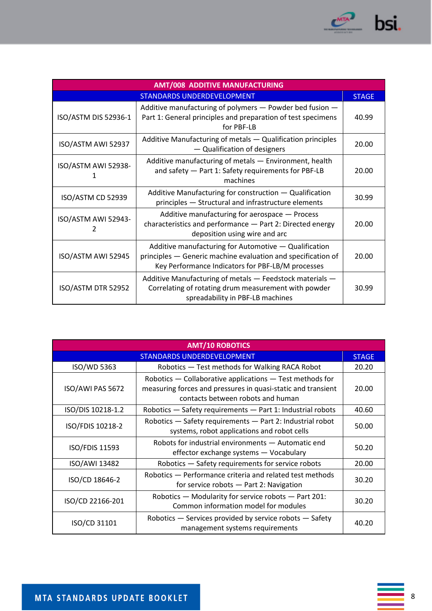

| <b>AMT/008 ADDITIVE MANUFACTURING</b> |                                                                                                                                                                            |       |  |
|---------------------------------------|----------------------------------------------------------------------------------------------------------------------------------------------------------------------------|-------|--|
| STANDARDS UNDERDEVELOPMENT            |                                                                                                                                                                            |       |  |
| ISO/ASTM DIS 52936-1                  | Additive manufacturing of polymers - Powder bed fusion -<br>Part 1: General principles and preparation of test specimens<br>for PBF-LB                                     | 40.99 |  |
| ISO/ASTM AWI 52937                    | Additive Manufacturing of metals - Qualification principles<br>- Qualification of designers                                                                                | 20.00 |  |
| ISO/ASTM AWI 52938-<br>1              | Additive manufacturing of metals - Environment, health<br>and safety - Part 1: Safety requirements for PBF-LB<br>machines                                                  | 20.00 |  |
| ISO/ASTM CD 52939                     | Additive Manufacturing for construction - Qualification<br>principles - Structural and infrastructure elements                                                             | 30.99 |  |
| ISO/ASTM AWI 52943-<br>2              | Additive manufacturing for aerospace - Process<br>characteristics and performance - Part 2: Directed energy<br>deposition using wire and arc                               | 20.00 |  |
| ISO/ASTM AWI 52945                    | Additive manufacturing for Automotive - Qualification<br>principles - Generic machine evaluation and specification of<br>Key Performance Indicators for PBF-LB/M processes | 20.00 |  |
| ISO/ASTM DTR 52952                    | Additive Manufacturing of metals - Feedstock materials -<br>Correlating of rotating drum measurement with powder<br>spreadability in PBF-LB machines                       | 30.99 |  |

| <b>AMT/10 ROBOTICS</b>            |                                                                                                                                                               |       |  |
|-----------------------------------|---------------------------------------------------------------------------------------------------------------------------------------------------------------|-------|--|
| <b>STANDARDS UNDERDEVELOPMENT</b> |                                                                                                                                                               |       |  |
| ISO/WD 5363                       | Robotics - Test methods for Walking RACA Robot                                                                                                                | 20.20 |  |
| ISO/AWI PAS 5672                  | Robotics — Collaborative applications — Test methods for<br>measuring forces and pressures in quasi-static and transient<br>contacts between robots and human | 20.00 |  |
| ISO/DIS 10218-1.2                 | Robotics - Safety requirements - Part 1: Industrial robots                                                                                                    | 40.60 |  |
| ISO/FDIS 10218-2                  | Robotics - Safety requirements - Part 2: Industrial robot<br>systems, robot applications and robot cells                                                      | 50.00 |  |
| ISO/FDIS 11593                    | Robots for industrial environments - Automatic end<br>effector exchange systems - Vocabulary                                                                  | 50.20 |  |
| ISO/AWI 13482                     | Robotics - Safety requirements for service robots                                                                                                             | 20.00 |  |
| ISO/CD 18646-2                    | Robotics - Performance criteria and related test methods<br>for service robots - Part 2: Navigation                                                           | 30.20 |  |
| ISO/CD 22166-201                  | Robotics - Modularity for service robots - Part 201:<br>Common information model for modules                                                                  | 30.20 |  |
| ISO/CD 31101                      | Robotics - Services provided by service robots - Safety<br>management systems requirements                                                                    | 40.20 |  |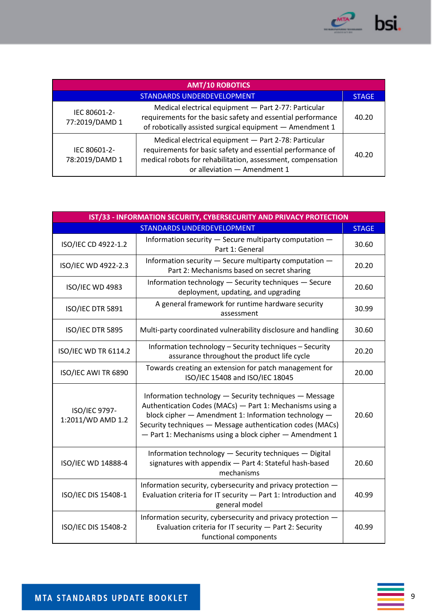

| <b>AMT/10 ROBOTICS</b>         |                                                                                                                                                                                                                   |              |  |
|--------------------------------|-------------------------------------------------------------------------------------------------------------------------------------------------------------------------------------------------------------------|--------------|--|
|                                | <b>STANDARDS UNDERDEVELOPMENT</b>                                                                                                                                                                                 | <b>STAGE</b> |  |
| IEC 80601-2-<br>77:2019/DAMD 1 | Medical electrical equipment - Part 2-77: Particular<br>requirements for the basic safety and essential performance<br>of robotically assisted surgical equipment - Amendment 1                                   | 40.20        |  |
| IEC 80601-2-<br>78:2019/DAMD 1 | Medical electrical equipment - Part 2-78: Particular<br>requirements for basic safety and essential performance of<br>medical robots for rehabilitation, assessment, compensation<br>or alleviation - Amendment 1 | 40.20        |  |

| IST/33 - INFORMATION SECURITY, CYBERSECURITY AND PRIVACY PROTECTION |                                                                                                                                                                                                                                                                                                    |       |  |  |
|---------------------------------------------------------------------|----------------------------------------------------------------------------------------------------------------------------------------------------------------------------------------------------------------------------------------------------------------------------------------------------|-------|--|--|
| <b>STANDARDS UNDERDEVELOPMENT</b>                                   |                                                                                                                                                                                                                                                                                                    |       |  |  |
| ISO/IEC CD 4922-1.2                                                 | Information security - Secure multiparty computation -<br>Part 1: General                                                                                                                                                                                                                          | 30.60 |  |  |
| ISO/IEC WD 4922-2.3                                                 | Information security - Secure multiparty computation -<br>Part 2: Mechanisms based on secret sharing                                                                                                                                                                                               | 20.20 |  |  |
| ISO/IEC WD 4983                                                     | Information technology - Security techniques - Secure<br>deployment, updating, and upgrading                                                                                                                                                                                                       | 20.60 |  |  |
| ISO/IEC DTR 5891                                                    | A general framework for runtime hardware security<br>assessment                                                                                                                                                                                                                                    | 30.99 |  |  |
| ISO/IEC DTR 5895                                                    | Multi-party coordinated vulnerability disclosure and handling                                                                                                                                                                                                                                      | 30.60 |  |  |
| <b>ISO/IEC WD TR 6114.2</b>                                         | Information technology - Security techniques - Security<br>assurance throughout the product life cycle                                                                                                                                                                                             | 20.20 |  |  |
| ISO/IEC AWI TR 6890                                                 | Towards creating an extension for patch management for<br>ISO/IEC 15408 and ISO/IEC 18045                                                                                                                                                                                                          | 20.00 |  |  |
| ISO/IEC 9797-<br>1:2011/WD AMD 1.2                                  | Information technology - Security techniques - Message<br>Authentication Codes (MACs) - Part 1: Mechanisms using a<br>block cipher - Amendment 1: Information technology -<br>Security techniques - Message authentication codes (MACs)<br>- Part 1: Mechanisms using a block cipher - Amendment 1 | 20.60 |  |  |
| ISO/IEC WD 14888-4                                                  | Information technology - Security techniques - Digital<br>signatures with appendix - Part 4: Stateful hash-based<br>mechanisms                                                                                                                                                                     | 20.60 |  |  |
| ISO/IEC DIS 15408-1                                                 | Information security, cybersecurity and privacy protection -<br>Evaluation criteria for IT security - Part 1: Introduction and<br>general model                                                                                                                                                    | 40.99 |  |  |
| ISO/IEC DIS 15408-2                                                 | Information security, cybersecurity and privacy protection -<br>Evaluation criteria for IT security - Part 2: Security<br>functional components                                                                                                                                                    | 40.99 |  |  |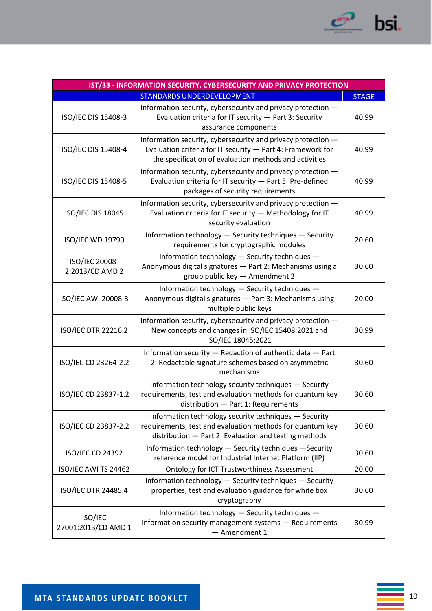

| IST/33 - INFORMATION SECURITY, CYBERSECURITY AND PRIVACY PROTECTION |                                                                                                                                                                                       |       |  |  |
|---------------------------------------------------------------------|---------------------------------------------------------------------------------------------------------------------------------------------------------------------------------------|-------|--|--|
| <b>STANDARDS UNDERDEVELOPMENT</b>                                   |                                                                                                                                                                                       |       |  |  |
| ISO/IEC DIS 15408-3                                                 | Information security, cybersecurity and privacy protection -<br>Evaluation criteria for IT security - Part 3: Security<br>assurance components                                        | 40.99 |  |  |
| ISO/IEC DIS 15408-4                                                 | Information security, cybersecurity and privacy protection -<br>Evaluation criteria for IT security - Part 4: Framework for<br>the specification of evaluation methods and activities | 40.99 |  |  |
| ISO/IEC DIS 15408-5                                                 | Information security, cybersecurity and privacy protection -<br>Evaluation criteria for IT security - Part 5: Pre-defined<br>packages of security requirements                        | 40.99 |  |  |
| <b>ISO/IEC DIS 18045</b>                                            | Information security, cybersecurity and privacy protection -<br>Evaluation criteria for IT security - Methodology for IT<br>security evaluation                                       | 40.99 |  |  |
| ISO/IEC WD 19790                                                    | Information technology - Security techniques - Security<br>requirements for cryptographic modules                                                                                     | 20.60 |  |  |
| ISO/IEC 20008-<br>2:2013/CD AMD 2                                   | Information technology - Security techniques -<br>Anonymous digital signatures - Part 2: Mechanisms using a<br>group public key - Amendment 2                                         | 30.60 |  |  |
| ISO/IEC AWI 20008-3                                                 | Information technology - Security techniques -<br>Anonymous digital signatures - Part 3: Mechanisms using<br>multiple public keys                                                     | 20.00 |  |  |
| ISO/IEC DTR 22216.2                                                 | Information security, cybersecurity and privacy protection -<br>New concepts and changes in ISO/IEC 15408:2021 and<br>ISO/IEC 18045:2021                                              | 30.99 |  |  |
| ISO/IEC CD 23264-2.2                                                | Information security - Redaction of authentic data - Part<br>2: Redactable signature schemes based on asymmetric<br>mechanisms                                                        | 30.60 |  |  |
| ISO/IEC CD 23837-1.2                                                | Information technology security techniques - Security<br>requirements, test and evaluation methods for quantum key<br>distribution - Part 1: Requirements                             | 30.60 |  |  |
| ISO/IEC CD 23837-2.2                                                | Information technology security techniques - Security<br>requirements, test and evaluation methods for quantum key<br>distribution - Part 2: Evaluation and testing methods           | 30.60 |  |  |
| ISO/IEC CD 24392                                                    | Information technology - Security techniques - Security<br>reference model for Industrial Internet Platform (IIP)                                                                     | 30.60 |  |  |
| ISO/IEC AWI TS 24462                                                | <b>Ontology for ICT Trustworthiness Assessment</b>                                                                                                                                    | 20.00 |  |  |
| ISO/IEC DTR 24485.4                                                 | Information technology - Security techniques - Security<br>properties, test and evaluation guidance for white box<br>cryptography                                                     | 30.60 |  |  |
| ISO/IEC<br>27001:2013/CD AMD 1                                      | Information technology - Security techniques -<br>Information security management systems - Requirements<br>- Amendment 1                                                             | 30.99 |  |  |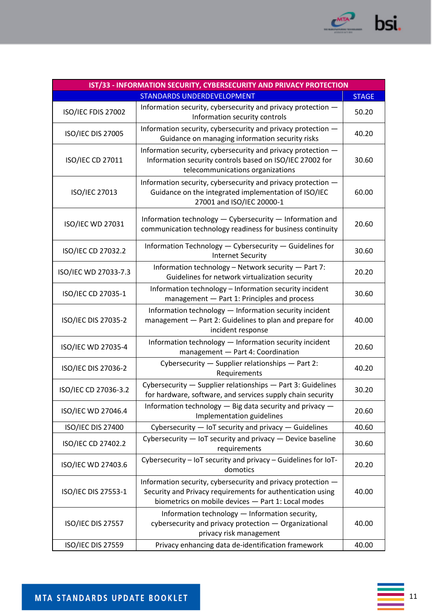

| IST/33 - INFORMATION SECURITY, CYBERSECURITY AND PRIVACY PROTECTION |                                                                                                                                                                                  |       |  |  |
|---------------------------------------------------------------------|----------------------------------------------------------------------------------------------------------------------------------------------------------------------------------|-------|--|--|
| <b>STANDARDS UNDERDEVELOPMENT</b><br><b>STAGE</b>                   |                                                                                                                                                                                  |       |  |  |
| ISO/IEC FDIS 27002                                                  | Information security, cybersecurity and privacy protection -<br>Information security controls                                                                                    | 50.20 |  |  |
| <b>ISO/IEC DIS 27005</b>                                            | Information security, cybersecurity and privacy protection -<br>Guidance on managing information security risks                                                                  | 40.20 |  |  |
| ISO/IEC CD 27011                                                    | Information security, cybersecurity and privacy protection -<br>Information security controls based on ISO/IEC 27002 for<br>telecommunications organizations                     | 30.60 |  |  |
| ISO/IEC 27013                                                       | Information security, cybersecurity and privacy protection -<br>Guidance on the integrated implementation of ISO/IEC<br>27001 and ISO/IEC 20000-1                                | 60.00 |  |  |
| ISO/IEC WD 27031                                                    | Information technology - Cybersecurity - Information and<br>communication technology readiness for business continuity                                                           | 20.60 |  |  |
| ISO/IEC CD 27032.2                                                  | Information Technology - Cybersecurity - Guidelines for<br><b>Internet Security</b>                                                                                              | 30.60 |  |  |
| ISO/IEC WD 27033-7.3                                                | Information technology - Network security - Part 7:<br>Guidelines for network virtualization security                                                                            | 20.20 |  |  |
| ISO/IEC CD 27035-1                                                  | Information technology - Information security incident<br>management - Part 1: Principles and process                                                                            | 30.60 |  |  |
| ISO/IEC DIS 27035-2                                                 | Information technology - Information security incident<br>management - Part 2: Guidelines to plan and prepare for<br>incident response                                           | 40.00 |  |  |
| ISO/IEC WD 27035-4                                                  | Information technology - Information security incident<br>management - Part 4: Coordination                                                                                      | 20.60 |  |  |
| ISO/IEC DIS 27036-2                                                 | Cybersecurity - Supplier relationships - Part 2:<br>Requirements                                                                                                                 | 40.20 |  |  |
| ISO/IEC CD 27036-3.2                                                | Cybersecurity - Supplier relationships - Part 3: Guidelines<br>for hardware, software, and services supply chain security                                                        | 30.20 |  |  |
| ISO/IEC WD 27046.4                                                  | Information technology - Big data security and privacy -<br>Implementation guidelines                                                                                            | 20.60 |  |  |
| ISO/IEC DIS 27400                                                   | Cybersecurity - IoT security and privacy - Guidelines                                                                                                                            | 40.60 |  |  |
| ISO/IEC CD 27402.2                                                  | Cybersecurity - IoT security and privacy - Device baseline<br>requirements                                                                                                       | 30.60 |  |  |
| ISO/IEC WD 27403.6                                                  | Cybersecurity - IoT security and privacy - Guidelines for IoT-<br>domotics                                                                                                       | 20.20 |  |  |
| ISO/IEC DIS 27553-1                                                 | Information security, cybersecurity and privacy protection -<br>Security and Privacy requirements for authentication using<br>biometrics on mobile devices - Part 1: Local modes | 40.00 |  |  |
| <b>ISO/IEC DIS 27557</b>                                            | Information technology - Information security,<br>cybersecurity and privacy protection - Organizational<br>privacy risk management                                               | 40.00 |  |  |
| ISO/IEC DIS 27559                                                   | Privacy enhancing data de-identification framework                                                                                                                               | 40.00 |  |  |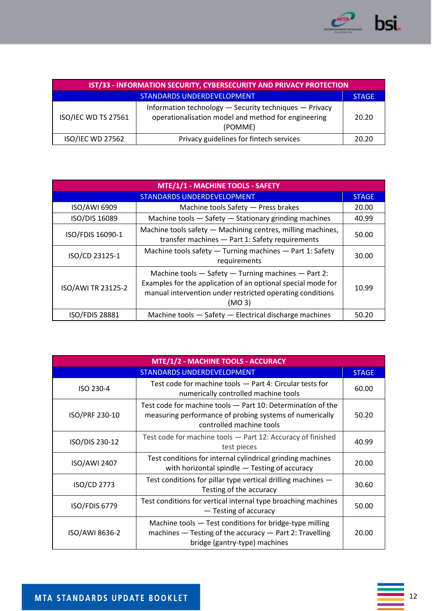

| IST/33 - INFORMATION SECURITY, CYBERSECURITY AND PRIVACY PROTECTION |                                                                                                                          |              |
|---------------------------------------------------------------------|--------------------------------------------------------------------------------------------------------------------------|--------------|
| <b>STANDARDS UNDERDEVELOPMENT</b>                                   |                                                                                                                          | <b>STAGE</b> |
| ISO/IEC WD TS 27561                                                 | Information technology - Security techniques - Privacy<br>operationalisation model and method for engineering<br>(POMME) | 20.20        |
| <b>ISO/IEC WD 27562</b>                                             | Privacy guidelines for fintech services                                                                                  | 20.20        |

| MTE/1/1 - MACHINE TOOLS - SAFETY |                                                                                                                                                                                                        |              |
|----------------------------------|--------------------------------------------------------------------------------------------------------------------------------------------------------------------------------------------------------|--------------|
| STANDARDS UNDERDEVELOPMENT       |                                                                                                                                                                                                        | <b>STAGE</b> |
| ISO/AWI 6909                     | Machine tools Safety - Press brakes                                                                                                                                                                    | 20.00        |
| ISO/DIS 16089                    | Machine tools - Safety - Stationary grinding machines                                                                                                                                                  | 40.99        |
| ISO/FDIS 16090-1                 | Machine tools safety - Machining centres, milling machines,<br>transfer machines - Part 1: Safety requirements                                                                                         | 50.00        |
| ISO/CD 23125-1                   | Machine tools safety - Turning machines - Part 1: Safety<br>requirements                                                                                                                               | 30.00        |
| ISO/AWI TR 23125-2               | Machine tools - Safety - Turning machines - Part 2:<br>Examples for the application of an optional special mode for<br>manual intervention under restricted operating conditions<br>(MO <sub>3</sub> ) | 10.99        |
| <b>ISO/FDIS 28881</b>            | Machine tools - Safety - Electrical discharge machines                                                                                                                                                 | 50.20        |

| MTE/1/2 - MACHINE TOOLS - ACCURACY |                                                                                                                                                         |              |
|------------------------------------|---------------------------------------------------------------------------------------------------------------------------------------------------------|--------------|
| STANDARDS UNDERDEVELOPMENT         |                                                                                                                                                         | <b>STAGE</b> |
| ISO 230-4                          | Test code for machine tools - Part 4: Circular tests for<br>numerically controlled machine tools                                                        | 60.00        |
| ISO/PRF 230-10                     | Test code for machine tools - Part 10: Determination of the<br>measuring performance of probing systems of numerically<br>controlled machine tools      | 50.20        |
| ISO/DIS 230-12                     | Test code for machine tools - Part 12: Accuracy of finished<br>test pieces                                                                              | 40.99        |
| ISO/AWI 2407                       | Test conditions for internal cylindrical grinding machines<br>with horizontal spindle - Testing of accuracy                                             | 20.00        |
| ISO/CD 2773                        | Test conditions for pillar type vertical drilling machines -<br>Testing of the accuracy                                                                 | 30.60        |
| ISO/FDIS 6779                      | Test conditions for vertical internal type broaching machines<br>- Testing of accuracy                                                                  | 50.00        |
| ISO/AWI 8636-2                     | Machine tools - Test conditions for bridge-type milling<br>machines $-$ Testing of the accuracy $-$ Part 2: Travelling<br>bridge (gantry-type) machines | 20.00        |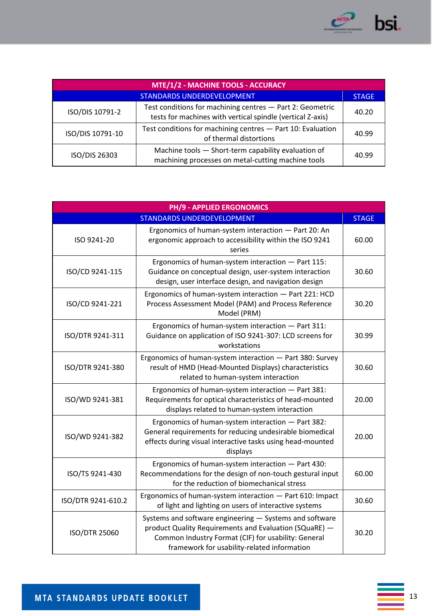

| MTE/1/2 - MACHINE TOOLS - ACCURACY |                                                                                                                         |              |
|------------------------------------|-------------------------------------------------------------------------------------------------------------------------|--------------|
| STANDARDS UNDERDEVELOPMENT         |                                                                                                                         | <b>STAGE</b> |
| ISO/DIS 10791-2                    | Test conditions for machining centres - Part 2: Geometric<br>tests for machines with vertical spindle (vertical Z-axis) | 40.20        |
| ISO/DIS 10791-10                   | Test conditions for machining centres - Part 10: Evaluation<br>of thermal distortions                                   | 40.99        |
| ISO/DIS 26303                      | Machine tools - Short-term capability evaluation of<br>machining processes on metal-cutting machine tools               | 40.99        |

| <b>PH/9 - APPLIED ERGONOMICS</b>  |                                                                                                                                                                                                                         |              |
|-----------------------------------|-------------------------------------------------------------------------------------------------------------------------------------------------------------------------------------------------------------------------|--------------|
| <b>STANDARDS UNDERDEVELOPMENT</b> |                                                                                                                                                                                                                         | <b>STAGE</b> |
| ISO 9241-20                       | Ergonomics of human-system interaction - Part 20: An<br>ergonomic approach to accessibility within the ISO 9241<br>series                                                                                               | 60.00        |
| ISO/CD 9241-115                   | Ergonomics of human-system interaction - Part 115:<br>Guidance on conceptual design, user-system interaction<br>design, user interface design, and navigation design                                                    | 30.60        |
| ISO/CD 9241-221                   | Ergonomics of human-system interaction - Part 221: HCD<br>Process Assessment Model (PAM) and Process Reference<br>Model (PRM)                                                                                           | 30.20        |
| ISO/DTR 9241-311                  | Ergonomics of human-system interaction - Part 311:<br>Guidance on application of ISO 9241-307: LCD screens for<br>workstations                                                                                          | 30.99        |
| ISO/DTR 9241-380                  | Ergonomics of human-system interaction - Part 380: Survey<br>result of HMD (Head-Mounted Displays) characteristics<br>related to human-system interaction                                                               | 30.60        |
| ISO/WD 9241-381                   | Ergonomics of human-system interaction - Part 381:<br>Requirements for optical characteristics of head-mounted<br>displays related to human-system interaction                                                          | 20.00        |
| ISO/WD 9241-382                   | Ergonomics of human-system interaction - Part 382:<br>General requirements for reducing undesirable biomedical<br>effects during visual interactive tasks using head-mounted<br>displays                                | 20.00        |
| ISO/TS 9241-430                   | Ergonomics of human-system interaction - Part 430:<br>Recommendations for the design of non-touch gestural input<br>for the reduction of biomechanical stress                                                           | 60.00        |
| ISO/DTR 9241-610.2                | Ergonomics of human-system interaction - Part 610: Impact<br>of light and lighting on users of interactive systems                                                                                                      | 30.60        |
| <b>ISO/DTR 25060</b>              | Systems and software engineering - Systems and software<br>product Quality Requirements and Evaluation (SQuaRE) -<br>Common Industry Format (CIF) for usability: General<br>framework for usability-related information | 30.20        |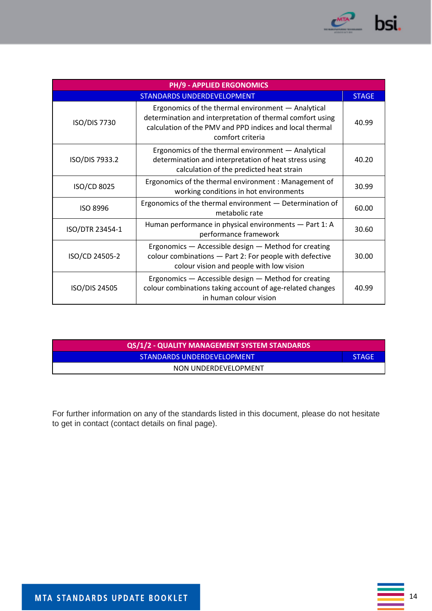

| <b>PH/9 - APPLIED ERGONOMICS</b>  |                                                                                                                                                                                                 |              |
|-----------------------------------|-------------------------------------------------------------------------------------------------------------------------------------------------------------------------------------------------|--------------|
| <b>STANDARDS UNDERDEVELOPMENT</b> |                                                                                                                                                                                                 | <b>STAGE</b> |
| <b>ISO/DIS 7730</b>               | Ergonomics of the thermal environment - Analytical<br>determination and interpretation of thermal comfort using<br>calculation of the PMV and PPD indices and local thermal<br>comfort criteria | 40.99        |
| ISO/DIS 7933.2                    | Ergonomics of the thermal environment - Analytical<br>determination and interpretation of heat stress using<br>calculation of the predicted heat strain                                         | 40.20        |
| ISO/CD 8025                       | Ergonomics of the thermal environment: Management of<br>working conditions in hot environments                                                                                                  | 30.99        |
| <b>ISO 8996</b>                   | Ergonomics of the thermal environment - Determination of<br>metabolic rate                                                                                                                      | 60.00        |
| ISO/DTR 23454-1                   | Human performance in physical environments - Part 1: A<br>performance framework                                                                                                                 | 30.60        |
| ISO/CD 24505-2                    | Ergonomics - Accessible design - Method for creating<br>colour combinations - Part 2: For people with defective<br>colour vision and people with low vision                                     | 30.00        |
| ISO/DIS 24505                     | Ergonomics - Accessible design - Method for creating<br>colour combinations taking account of age-related changes<br>in human colour vision                                                     | 40.99        |

| QS/1/2 - QUALITY MANAGEMENT SYSTEM STANDARDS |              |
|----------------------------------------------|--------------|
| STANDARDS UNDERDEVELOPMENT                   | <b>STAGE</b> |
| NON UNDERDEVELOPMENT                         |              |

For further information on any of the standards listed in this document, please do not hesitate to get in contact (contact details on final page).